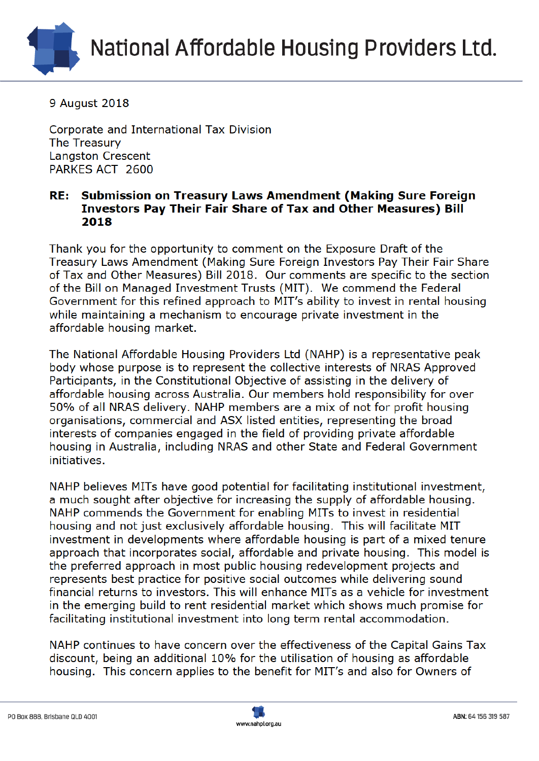

9 August 2018

Corporate and International Tax Division The Treasury **Langston Crescent** PARKES ACT 2600

## Submission on Treasury Laws Amendment (Making Sure Foreign RE: **Investors Pay Their Fair Share of Tax and Other Measures) Bill** 2018

Thank you for the opportunity to comment on the Exposure Draft of the Treasury Laws Amendment (Making Sure Foreign Investors Pay Their Fair Share of Tax and Other Measures) Bill 2018. Our comments are specific to the section of the Bill on Managed Investment Trusts (MIT). We commend the Federal Government for this refined approach to MIT's ability to invest in rental housing while maintaining a mechanism to encourage private investment in the affordable housing market.

The National Affordable Housing Providers Ltd (NAHP) is a representative peak body whose purpose is to represent the collective interests of NRAS Approved Participants, in the Constitutional Objective of assisting in the delivery of affordable housing across Australia. Our members hold responsibility for over 50% of all NRAS delivery. NAHP members are a mix of not for profit housing organisations, commercial and ASX listed entities, representing the broad interests of companies engaged in the field of providing private affordable housing in Australia, including NRAS and other State and Federal Government initiatives.

NAHP believes MITs have good potential for facilitating institutional investment, a much sought after objective for increasing the supply of affordable housing. NAHP commends the Government for enabling MITs to invest in residential housing and not just exclusively affordable housing. This will facilitate MIT investment in developments where affordable housing is part of a mixed tenure approach that incorporates social, affordable and private housing. This model is the preferred approach in most public housing redevelopment projects and represents best practice for positive social outcomes while delivering sound financial returns to investors. This will enhance MITs as a vehicle for investment in the emerging build to rent residential market which shows much promise for facilitating institutional investment into long term rental accommodation.

NAHP continues to have concern over the effectiveness of the Capital Gains Tax discount, being an additional 10% for the utilisation of housing as affordable housing. This concern applies to the benefit for MIT's and also for Owners of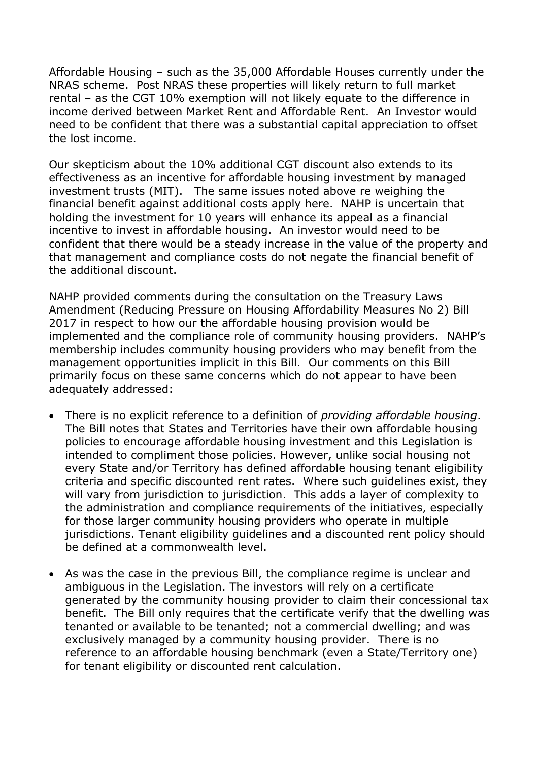Affordable Housing – such as the 35,000 Affordable Houses currently under the NRAS scheme. Post NRAS these properties will likely return to full market rental – as the CGT 10% exemption will not likely equate to the difference in income derived between Market Rent and Affordable Rent. An Investor would need to be confident that there was a substantial capital appreciation to offset the lost income.

Our skepticism about the 10% additional CGT discount also extends to its effectiveness as an incentive for affordable housing investment by managed investment trusts (MIT). The same issues noted above re weighing the financial benefit against additional costs apply here. NAHP is uncertain that holding the investment for 10 years will enhance its appeal as a financial incentive to invest in affordable housing. An investor would need to be confident that there would be a steady increase in the value of the property and that management and compliance costs do not negate the financial benefit of the additional discount.

NAHP provided comments during the consultation on the Treasury Laws Amendment (Reducing Pressure on Housing Affordability Measures No 2) Bill 2017 in respect to how our the affordable housing provision would be implemented and the compliance role of community housing providers. NAHP's membership includes community housing providers who may benefit from the management opportunities implicit in this Bill. Our comments on this Bill primarily focus on these same concerns which do not appear to have been adequately addressed:

- There is no explicit reference to a definition of *providing affordable housing*. The Bill notes that States and Territories have their own affordable housing policies to encourage affordable housing investment and this Legislation is intended to compliment those policies. However, unlike social housing not every State and/or Territory has defined affordable housing tenant eligibility criteria and specific discounted rent rates. Where such guidelines exist, they will vary from jurisdiction to jurisdiction. This adds a layer of complexity to the administration and compliance requirements of the initiatives, especially for those larger community housing providers who operate in multiple jurisdictions. Tenant eligibility guidelines and a discounted rent policy should be defined at a commonwealth level.
- As was the case in the previous Bill, the compliance regime is unclear and ambiguous in the Legislation. The investors will rely on a certificate generated by the community housing provider to claim their concessional tax benefit. The Bill only requires that the certificate verify that the dwelling was tenanted or available to be tenanted; not a commercial dwelling; and was exclusively managed by a community housing provider. There is no reference to an affordable housing benchmark (even a State/Territory one) for tenant eligibility or discounted rent calculation.